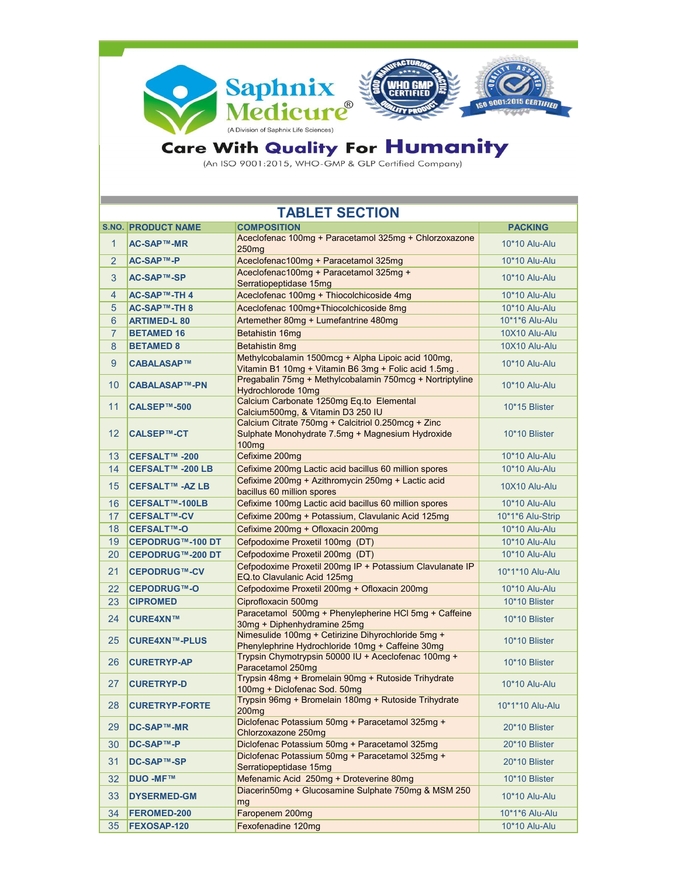

## Care With Quality For Humanity

| <b>TABLET SECTION</b> |                           |                                                                                                                             |                  |
|-----------------------|---------------------------|-----------------------------------------------------------------------------------------------------------------------------|------------------|
|                       | <b>S.NO. PRODUCT NAME</b> | <b>COMPOSITION</b>                                                                                                          | <b>PACKING</b>   |
| $\mathbf{1}$          | AC-SAP™-MR                | Aceclofenac 100mg + Paracetamol 325mg + Chlorzoxazone<br>250 <sub>mg</sub>                                                  | 10*10 Alu-Alu    |
| $\overline{2}$        | AC-SAP™-P                 | Aceclofenac100mg + Paracetamol 325mg                                                                                        | 10*10 Alu-Alu    |
| 3                     | AC-SAP™-SP                | Aceclofenac100mg + Paracetamol 325mg +<br>Serratiopeptidase 15mg                                                            | 10*10 Alu-Alu    |
| 4                     | AC-SAP™-TH4               | Aceclofenac 100mg + Thiocolchicoside 4mg                                                                                    | 10*10 Alu-Alu    |
| 5                     | AC-SAP™-TH 8              | Aceclofenac 100mg+Thiocolchicoside 8mg                                                                                      | 10*10 Alu-Alu    |
| 6                     | <b>ARTIMED-L 80</b>       | Artemether 80mg + Lumefantrine 480mg                                                                                        | 10*1*6 Alu-Alu   |
| $\overline{7}$        | <b>BETAMED 16</b>         | Betahistin 16mg                                                                                                             | 10X10 Alu-Alu    |
| 8                     | <b>BETAMED 8</b>          | Betahistin 8mg                                                                                                              | 10X10 Alu-Alu    |
| 9                     | CABALASAP™                | Methylcobalamin 1500mcg + Alpha Lipoic acid 100mg,<br>Vitamin B1 10mg + Vitamin B6 3mg + Folic acid 1.5mg.                  | 10*10 Alu-Alu    |
| 10                    | <b>CABALASAP™-PN</b>      | Pregabalin 75mg + Methylcobalamin 750mcg + Nortriptyline<br>Hydrochlorode 10mg                                              | 10*10 Alu-Alu    |
| 11                    | CALSEP™-500               | Calcium Carbonate 1250mg Eq.to Elemental<br>Calcium500mg, & Vitamin D3 250 IU                                               | 10*15 Blister    |
| 12                    | <b>CALSEP™-CT</b>         | Calcium Citrate 750mg + Calcitriol 0.250mcg + Zinc<br>Sulphate Monohydrate 7.5mg + Magnesium Hydroxide<br>100 <sub>mg</sub> | 10*10 Blister    |
| 13                    | CEFSALT™ -200             | Cefixime 200mg                                                                                                              | 10*10 Alu-Alu    |
| 14                    | CEFSALT™ -200 LB          | Cefixime 200mg Lactic acid bacillus 60 million spores                                                                       | 10*10 Alu-Alu    |
| 15                    | CEFSALT™ -AZ LB           | Cefixime 200mg + Azithromycin 250mg + Lactic acid<br>bacillus 60 million spores                                             | 10X10 Alu-Alu    |
| 16                    | CEFSALT™-100LB            | Cefixime 100mg Lactic acid bacillus 60 million spores                                                                       | 10*10 Alu-Alu    |
| 17                    | <b>CEFSALT™-CV</b>        | Cefixime 200mg + Potassium, Clavulanic Acid 125mg                                                                           | 10*1*6 Alu-Strip |
| 18                    | CEFSALT™-O                | Cefixime 200mg + Ofloxacin 200mg                                                                                            | 10*10 Alu-Alu    |
| 19                    | CEPODRUG™-100 DT          | Cefpodoxime Proxetil 100mg (DT)                                                                                             | 10*10 Alu-Alu    |
| 20                    | CEPODRUG™-200 DT          | Cefpodoxime Proxetil 200mg (DT)                                                                                             | 10*10 Alu-Alu    |
| 21                    | <b>CEPODRUG™-CV</b>       | Cefpodoxime Proxetil 200mg IP + Potassium Clavulanate IP<br>EQ.to Clavulanic Acid 125mg                                     | 10*1*10 Alu-Alu  |
| 22                    | <b>CEPODRUG™-O</b>        | Cefpodoxime Proxetil 200mg + Ofloxacin 200mg                                                                                | 10*10 Alu-Alu    |
| 23                    | <b>CIPROMED</b>           | Ciprofloxacin 500mg                                                                                                         | 10*10 Blister    |
| 24                    | <b>CURE4XN™</b>           | Paracetamol 500mg + Phenylepherine HCl 5mg + Caffeine<br>30mg + Diphenhydramine 25mg                                        | 10*10 Blister    |
| 25                    | <b>CURE4XN™-PLUS</b>      | Nimesulide 100mg + Cetirizine Dihyrochloride 5mg +<br>Phenylephrine Hydrochloride 10mg + Caffeine 30mg                      | 10*10 Blister    |
| 26                    | <b>CURETRYP-AP</b>        | Trypsin Chymotrypsin 50000 IU + Aceclofenac 100mg +<br>Paracetamol 250mg                                                    | 10*10 Blister    |
| 27                    | <b>CURETRYP-D</b>         | Trypsin 48mg + Bromelain 90mg + Rutoside Trihydrate<br>100mg + Diclofenac Sod. 50mg                                         | 10*10 Alu-Alu    |
| 28                    | <b>CURETRYP-FORTE</b>     | Trypsin 96mg + Bromelain 180mg + Rutoside Trihydrate<br><b>200mg</b>                                                        | 10*1*10 Alu-Alu  |
| 29                    | <b>DC-SAP™-MR</b>         | Diclofenac Potassium 50mg + Paracetamol 325mg +<br>Chlorzoxazone 250mg                                                      | 20*10 Blister    |
| 30                    | <b>DC-SAP™-P</b>          | Diclofenac Potassium 50mg + Paracetamol 325mg                                                                               | 20*10 Blister    |
| 31                    | <b>DC-SAP™-SP</b>         | Diclofenac Potassium 50mg + Paracetamol 325mg +<br>Serratiopeptidase 15mg                                                   | 20*10 Blister    |
| 32                    | <b>DUO -MF™</b>           | Mefenamic Acid 250mg + Droteverine 80mg                                                                                     | 10*10 Blister    |
| 33                    | <b>DYSERMED-GM</b>        | Diacerin50mg + Glucosamine Sulphate 750mg & MSM 250<br>mg                                                                   | 10*10 Alu-Alu    |
| 34                    | FEROMED-200               | Faropenem 200mg                                                                                                             | 10*1*6 Alu-Alu   |
| 35                    | FEXOSAP-120               | Fexofenadine 120mg                                                                                                          | $10*10$ Alu-Alu  |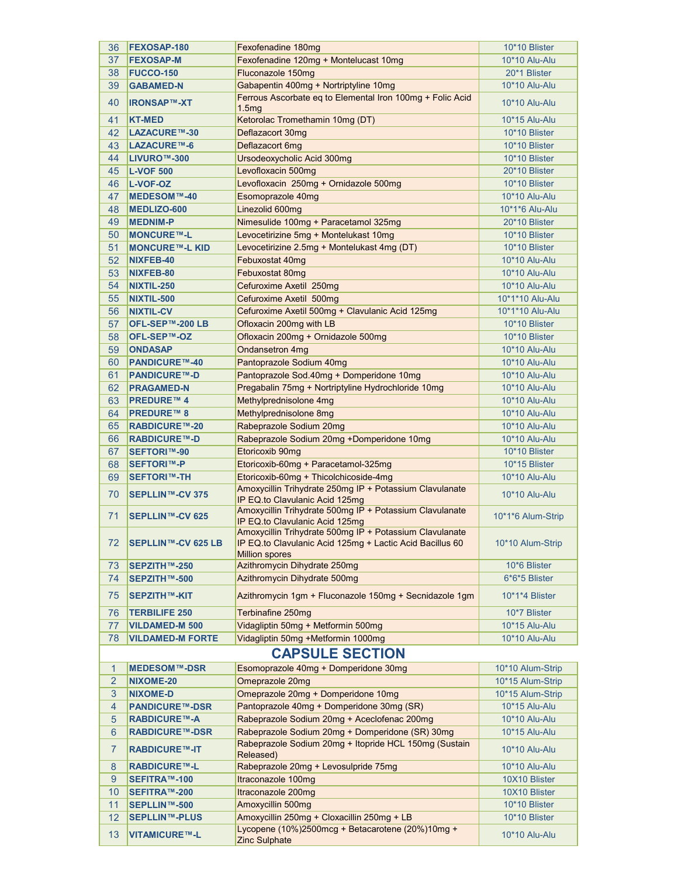| 36             | FEXOSAP-180               | Fexofenadine 180mg                                                                        | 10*10 Blister     |
|----------------|---------------------------|-------------------------------------------------------------------------------------------|-------------------|
| 37             | <b>FEXOSAP-M</b>          | Fexofenadine 120mg + Montelucast 10mg                                                     | 10*10 Alu-Alu     |
| 38             | <b>FUCCO-150</b>          | Fluconazole 150mg                                                                         | 20*1 Blister      |
| 39             | <b>GABAMED-N</b>          | Gabapentin 400mg + Nortriptyline 10mg                                                     | 10*10 Alu-Alu     |
| 40             | <b>IRONSAP™-XT</b>        | Ferrous Ascorbate eq to Elemental Iron 100mg + Folic Acid<br>1.5mg                        | 10*10 Alu-Alu     |
| 41             | <b>KT-MED</b>             | Ketorolac Tromethamin 10mg (DT)                                                           | 10*15 Alu-Alu     |
| 42             | <b>LAZACURE™-30</b>       | Deflazacort 30mg                                                                          | 10*10 Blister     |
| 43             | <b>LAZACURE™-6</b>        | Deflazacort 6mg                                                                           | 10*10 Blister     |
| 44             | LIVURO™-300               | Ursodeoxycholic Acid 300mg                                                                | 10*10 Blister     |
| 45             | <b>L-VOF 500</b>          | Levofloxacin 500mg                                                                        | 20*10 Blister     |
| 46             | <b>L-VOF-OZ</b>           | Levofloxacin 250mg + Ornidazole 500mg                                                     | 10*10 Blister     |
| 47             | MEDESOM™-40               | Esomoprazole 40mg                                                                         | 10*10 Alu-Alu     |
| 48             | <b>MEDLIZO-600</b>        | Linezolid 600mg                                                                           | 10*1*6 Alu-Alu    |
| 49             |                           | Nimesulide 100mg + Paracetamol 325mg                                                      | 20*10 Blister     |
|                | <b>MEDNIM-P</b>           |                                                                                           |                   |
| 50             | <b>MONCURE™-L</b>         | Levocetirizine 5mg + Montelukast 10mg                                                     | 10*10 Blister     |
| 51             | <b>MONCURE™-L KID</b>     | Levocetirizine 2.5mg + Montelukast 4mg (DT)                                               | 10*10 Blister     |
| 52             | NIXFEB-40                 | Febuxostat 40mg                                                                           | 10*10 Alu-Alu     |
| 53             | NIXFEB-80                 | Febuxostat 80mg                                                                           | 10*10 Alu-Alu     |
| 54             | <b>NIXTIL-250</b>         | Cefuroxime Axetil 250mg                                                                   | 10*10 Alu-Alu     |
| 55             | NIXTIL-500                | Cefuroxime Axetil 500mg                                                                   | 10*1*10 Alu-Alu   |
| 56             | <b>NIXTIL-CV</b>          | Cefuroxime Axetil 500mg + Clavulanic Acid 125mg                                           | 10*1*10 Alu-Alu   |
| 57             | OFL-SEP™-200 LB           | Ofloxacin 200mg with LB                                                                   | 10*10 Blister     |
| 58             | OFL-SEP™-OZ               | Ofloxacin 200mg + Ornidazole 500mg                                                        | 10*10 Blister     |
| 59             | <b>ONDASAP</b>            | Ondansetron 4mg                                                                           | 10*10 Alu-Alu     |
| 60             | <b>PANDICURE™-40</b>      | Pantoprazole Sodium 40mg                                                                  | 10*10 Alu-Alu     |
| 61             | <b>PANDICURE™-D</b>       | Pantoprazole Sod.40mg + Domperidone 10mg                                                  | 10*10 Alu-Alu     |
| 62             | <b>PRAGAMED-N</b>         | Pregabalin 75mg + Nortriptyline Hydrochloride 10mg                                        | 10*10 Alu-Alu     |
| 63             | <b>PREDURE™4</b>          | Methylprednisolone 4mg                                                                    | 10*10 Alu-Alu     |
| 64             | <b>PREDURE™ 8</b>         | Methylprednisolone 8mg                                                                    | 10*10 Alu-Alu     |
| 65             | <b>RABDICURE™-20</b>      | Rabeprazole Sodium 20mg                                                                   | 10*10 Alu-Alu     |
| 66             | <b>RABDICURE™-D</b>       | Rabeprazole Sodium 20mg +Domperidone 10mg                                                 | 10*10 Alu-Alu     |
| 67             | <b>SEFTORI™-90</b>        | Etoricoxib 90mg                                                                           | 10*10 Blister     |
| 68             | <b>SEFTORI™-P</b>         | Etoricoxib-60mg + Paracetamol-325mg                                                       | 10*15 Blister     |
| 69             | <b>SEFTORI™-TH</b>        | Etoricoxib-60mg + Thicolchicoside-4mg                                                     | 10*10 Alu-Alu     |
|                |                           | Amoxycillin Trihydrate 250mg IP + Potassium Clavulanate                                   |                   |
| 70             | <b>SEPLLIN™-CV 375</b>    | IP EQ.to Clavulanic Acid 125mg<br>Amoxycillin Trihydrate 500mg IP + Potassium Clavulanate | 10*10 Alu-Alu     |
| 71             | <b>SEPLLIN™-CV 625</b>    | IP EQ.to Clavulanic Acid 125mg<br>Amoxycillin Trihydrate 500mg IP + Potassium Clavulanate | 10*1*6 Alum-Strip |
| 72             | <b>SEPLLIN™-CV 625 LB</b> | IP EQ.to Clavulanic Acid 125mg + Lactic Acid Bacillus 60<br><b>Million spores</b>         | 10*10 Alum-Strip  |
| 73             | SEPZITH™-250              | Azithromycin Dihydrate 250mg                                                              | 10*6 Blister      |
| 74             | SEPZITH™-500              | Azithromycin Dihydrate 500mg                                                              | 6*6*5 Blister     |
| 75             | <b>SEPZITH™-KIT</b>       | Azithromycin 1gm + Fluconazole 150mg + Secnidazole 1gm                                    | 10*1*4 Blister    |
| 76             | <b>TERBILIFE 250</b>      | Terbinafine 250mg                                                                         | 10*7 Blister      |
| 77             | <b>VILDAMED-M 500</b>     | Vidagliptin 50mg + Metformin 500mg                                                        | 10*15 Alu-Alu     |
| 78             | <b>VILDAMED-M FORTE</b>   | Vidagliptin 50mg +Metformin 1000mg                                                        | 10*10 Alu-Alu     |
|                |                           | <b>CAPSULE SECTION</b>                                                                    |                   |
| 1              | <b>MEDESOM™-DSR</b>       | Esomoprazole 40mg + Domperidone 30mg                                                      | 10*10 Alum-Strip  |
| $\overline{2}$ | NIXOME-20                 | Omeprazole 20mg                                                                           | 10*15 Alum-Strip  |
| 3              | <b>NIXOME-D</b>           | Omeprazole 20mg + Domperidone 10mg                                                        | 10*15 Alum-Strip  |
| $\overline{4}$ | <b>PANDICURE™-DSR</b>     | Pantoprazole 40mg + Domperidone 30mg (SR)                                                 | 10*15 Alu-Alu     |
| 5              | <b>RABDICURE™-A</b>       | Rabeprazole Sodium 20mg + Aceclofenac 200mg                                               | 10*10 Alu-Alu     |
| $6\phantom{1}$ | <b>RABDICURE™-DSR</b>     | Rabeprazole Sodium 20mg + Domperidone (SR) 30mg                                           | 10*15 Alu-Alu     |
| $\overline{7}$ | <b>RABDICURE™-IT</b>      | Rabeprazole Sodium 20mg + Itopride HCL 150mg (Sustain<br>Released)                        | 10*10 Alu-Alu     |
| 8              | <b>RABDICURE™-L</b>       | Rabeprazole 20mg + Levosulpride 75mg                                                      | 10*10 Alu-Alu     |
| $9\,$          | SEFITRA™-100              | Itraconazole 100mg                                                                        | 10X10 Blister     |
| 10             | SEFITRA™-200              | Itraconazole 200mg                                                                        | 10X10 Blister     |
| 11             | SEPLLIN™-500              | Amoxycillin 500mg                                                                         | 10*10 Blister     |
| 12             | <b>SEPLLIN™-PLUS</b>      | Amoxycillin 250mg + Cloxacillin 250mg + LB                                                | 10*10 Blister     |
| 13             | <b>VITAMICURE™-L</b>      | Lycopene (10%)2500mcg + Betacarotene (20%)10mg +<br><b>Zinc Sulphate</b>                  | 10*10 Alu-Alu     |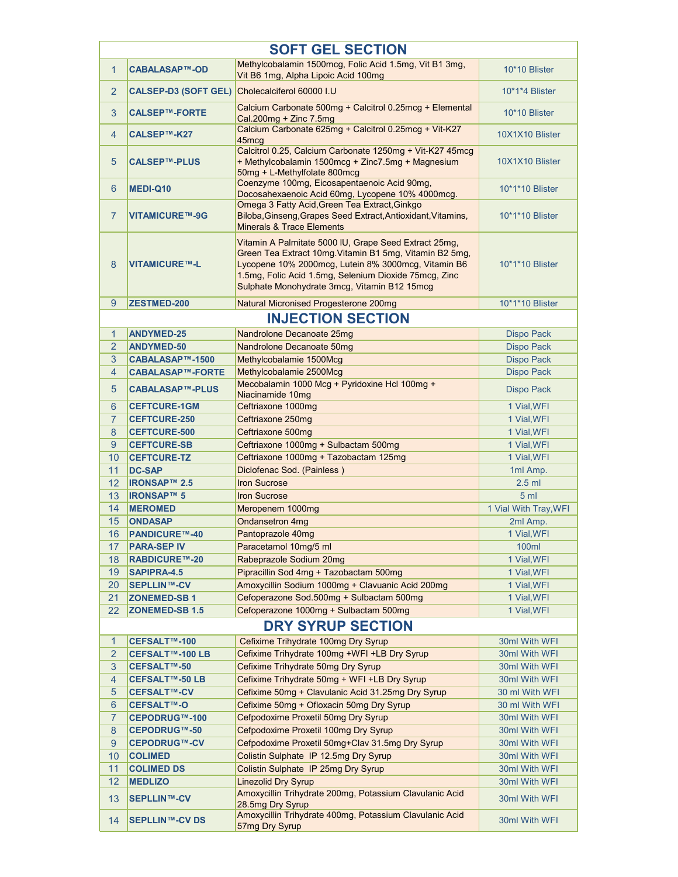| <b>SOFT GEL SECTION</b> |                         |                                                                                                                                                                                                                                                                                 |                       |
|-------------------------|-------------------------|---------------------------------------------------------------------------------------------------------------------------------------------------------------------------------------------------------------------------------------------------------------------------------|-----------------------|
|                         |                         | Methylcobalamin 1500mcg, Folic Acid 1.5mg, Vit B1 3mg,                                                                                                                                                                                                                          |                       |
| $\mathbf{1}$            | <b>CABALASAP™-OD</b>    | Vit B6 1mg, Alpha Lipoic Acid 100mg                                                                                                                                                                                                                                             | 10*10 Blister         |
| 2                       | CALSEP-D3 (SOFT GEL)    | Cholecalciferol 60000 I.U                                                                                                                                                                                                                                                       | 10*1*4 Blister        |
| 3                       | <b>CALSEP™-FORTE</b>    | Calcium Carbonate 500mg + Calcitrol 0.25mcg + Elemental<br>Cal.200mg + Zinc 7.5mg                                                                                                                                                                                               | 10*10 Blister         |
| $\overline{4}$          | CALSEP™-K27             | Calcium Carbonate 625mg + Calcitrol 0.25mcg + Vit-K27<br>45mcq                                                                                                                                                                                                                  | 10X1X10 Blister       |
| $\overline{5}$          | <b>CALSEP™-PLUS</b>     | Calcitrol 0.25, Calcium Carbonate 1250mg + Vit-K27 45mcg<br>+ Methylcobalamin 1500mcg + Zinc7.5mg + Magnesium<br>50mg + L-Methylfolate 800mcg                                                                                                                                   | 10X1X10 Blister       |
| 6                       | MEDI-Q10                | Coenzyme 100mg, Eicosapentaenoic Acid 90mg,<br>Docosahexaenoic Acid 60mg, Lycopene 10% 4000mcg.                                                                                                                                                                                 | 10*1*10 Blister       |
| $\overline{7}$          | <b>VITAMICURE™-9G</b>   | Omega 3 Fatty Acid, Green Tea Extract, Ginkgo<br>Biloba, Ginseng, Grapes Seed Extract, Antioxidant, Vitamins,<br><b>Minerals &amp; Trace Elements</b>                                                                                                                           | 10*1*10 Blister       |
| 8                       | <b>VITAMICURE™-L</b>    | Vitamin A Palmitate 5000 IU, Grape Seed Extract 25mg,<br>Green Tea Extract 10mg Vitamin B1 5mg, Vitamin B2 5mg,<br>Lycopene 10% 2000mcg, Lutein 8% 3000mcg, Vitamin B6<br>1.5mg, Folic Acid 1.5mg, Selenium Dioxide 75mcg, Zinc<br>Sulphate Monohydrate 3mcg, Vitamin B12 15mcg | 10*1*10 Blister       |
| 9                       | <b>ZESTMED-200</b>      | Natural Micronised Progesterone 200mg                                                                                                                                                                                                                                           | 10*1*10 Blister       |
|                         |                         | <b>INJECTION SECTION</b>                                                                                                                                                                                                                                                        |                       |
| $\mathbf{1}$            | <b>ANDYMED-25</b>       | Nandrolone Decanoate 25mg                                                                                                                                                                                                                                                       | <b>Dispo Pack</b>     |
| $\overline{2}$          | <b>ANDYMED-50</b>       | Nandrolone Decanoate 50mg                                                                                                                                                                                                                                                       | <b>Dispo Pack</b>     |
| 3                       | CABALASAP™-1500         | Methylcobalamie 1500Mcg                                                                                                                                                                                                                                                         | <b>Dispo Pack</b>     |
| $\overline{4}$          | <b>CABALASAP™-FORTE</b> | Methylcobalamie 2500Mcg                                                                                                                                                                                                                                                         | <b>Dispo Pack</b>     |
| 5                       | <b>CABALASAP™-PLUS</b>  | Mecobalamin 1000 Mcg + Pyridoxine Hcl 100mg +<br>Niacinamide 10mg                                                                                                                                                                                                               | Dispo Pack            |
| 6                       | <b>CEFTCURE-1GM</b>     | Ceftriaxone 1000mg                                                                                                                                                                                                                                                              | 1 Vial, WFI           |
| $\overline{7}$          | <b>CEFTCURE-250</b>     | Ceftriaxone 250mg                                                                                                                                                                                                                                                               | 1 Vial, WFI           |
| 8                       | <b>CEFTCURE-500</b>     | Ceftriaxone 500mg                                                                                                                                                                                                                                                               | 1 Vial, WFI           |
| 9                       | <b>CEFTCURE-SB</b>      | Ceftriaxone 1000mg + Sulbactam 500mg                                                                                                                                                                                                                                            | 1 Vial, WFI           |
| 10                      | <b>CEFTCURE-TZ</b>      | Ceftriaxone 1000mg + Tazobactam 125mg                                                                                                                                                                                                                                           | 1 Vial, WFI           |
| 11                      | <b>DC-SAP</b>           | Diclofenac Sod. (Painless)                                                                                                                                                                                                                                                      | 1ml Amp.              |
| 12                      | <b>IRONSAP™ 2.5</b>     | <b>Iron Sucrose</b>                                                                                                                                                                                                                                                             | $2.5$ ml              |
| 13                      | <b>IRONSAP™ 5</b>       | <b>Iron Sucrose</b>                                                                                                                                                                                                                                                             | 5 <sub>m</sub>        |
| 14                      | <b>MEROMED</b>          | Meropenem 1000mg                                                                                                                                                                                                                                                                | 1 Vial With Tray, WFI |
| 15                      | <b>ONDASAP</b>          | <b>Ondansetron 4mg</b>                                                                                                                                                                                                                                                          | 2ml Amp.              |
|                         | <b>PANDICURE™-40</b>    |                                                                                                                                                                                                                                                                                 |                       |
| 16                      |                         | Pantoprazole 40mg                                                                                                                                                                                                                                                               | 1 Vial, WFI           |
| 17                      | <b>PARA-SEP IV</b>      | Paracetamol 10mg/5 ml<br>Rabeprazole Sodium 20mg                                                                                                                                                                                                                                | 100ml                 |
| 18                      | <b>RABDICURE™-20</b>    |                                                                                                                                                                                                                                                                                 | 1 Vial, WFI           |
| 19                      | <b>SAPIPRA-4.5</b>      | Pipracillin Sod 4mg + Tazobactam 500mg                                                                                                                                                                                                                                          | 1 Vial, WFI           |
| 20                      | <b>SEPLLIN™-CV</b>      | Amoxycillin Sodium 1000mg + Clavuanic Acid 200mg                                                                                                                                                                                                                                | 1 Vial, WFI           |
| 21                      | <b>ZONEMED-SB1</b>      | Cefoperazone Sod.500mg + Sulbactam 500mg                                                                                                                                                                                                                                        | 1 Vial, WFI           |
| 22                      | <b>ZONEMED-SB 1.5</b>   | Cefoperazone 1000mg + Sulbactam 500mg                                                                                                                                                                                                                                           | 1 Vial, WFI           |
|                         |                         | <b>DRY SYRUP SECTION</b>                                                                                                                                                                                                                                                        |                       |
| $\mathbf{1}$            | CEFSALT™-100            | Cefixime Trihydrate 100mg Dry Syrup                                                                                                                                                                                                                                             | 30ml With WFI         |
| $\overline{2}$          | CEFSALT™-100 LB         | Cefixime Trihydrate 100mg +WFI +LB Dry Syrup                                                                                                                                                                                                                                    | 30ml With WFI         |
| 3                       | CEFSALT™-50             | Cefixime Trihydrate 50mg Dry Syrup                                                                                                                                                                                                                                              | 30ml With WFI         |
| 4                       | CEFSALT™-50 LB          | Cefixime Trihydrate 50mg + WFI +LB Dry Syrup                                                                                                                                                                                                                                    | 30ml With WFI         |
| 5                       | <b>CEFSALT™-CV</b>      | Cefixime 50mg + Clavulanic Acid 31.25mg Dry Syrup                                                                                                                                                                                                                               | 30 ml With WFI        |
| $6\phantom{1}$          | <b>CEFSALT™-O</b>       | Cefixime 50mg + Ofloxacin 50mg Dry Syrup                                                                                                                                                                                                                                        | 30 ml With WFI        |
| $\overline{7}$          | CEPODRUG™-100           | Cefpodoxime Proxetil 50mg Dry Syrup                                                                                                                                                                                                                                             | 30ml With WFI         |
| 8                       | <b>CEPODRUG™-50</b>     | Cefpodoxime Proxetil 100mg Dry Syrup                                                                                                                                                                                                                                            | 30ml With WFI         |
| 9                       | <b>CEPODRUG™-CV</b>     | Cefpodoxime Proxetil 50mg+Clav 31.5mg Dry Syrup                                                                                                                                                                                                                                 | 30ml With WFI         |
| 10                      | <b>COLIMED</b>          | Colistin Sulphate IP 12.5mg Dry Syrup                                                                                                                                                                                                                                           | 30ml With WFI         |
| 11                      | <b>COLIMED DS</b>       | Colistin Sulphate IP 25mg Dry Syrup                                                                                                                                                                                                                                             | 30ml With WFI         |
| 12                      | <b>MEDLIZO</b>          | <b>Linezolid Dry Syrup</b>                                                                                                                                                                                                                                                      | 30ml With WFI         |
| 13                      | <b>SEPLLIN™-CV</b>      | Amoxycillin Trihydrate 200mg, Potassium Clavulanic Acid<br>28.5mg Dry Syrup                                                                                                                                                                                                     | 30ml With WFI         |
| 14                      | <b>SEPLLIN™-CV DS</b>   | Amoxycillin Trihydrate 400mg, Potassium Clavulanic Acid<br>57mg Dry Syrup                                                                                                                                                                                                       | 30ml With WFI         |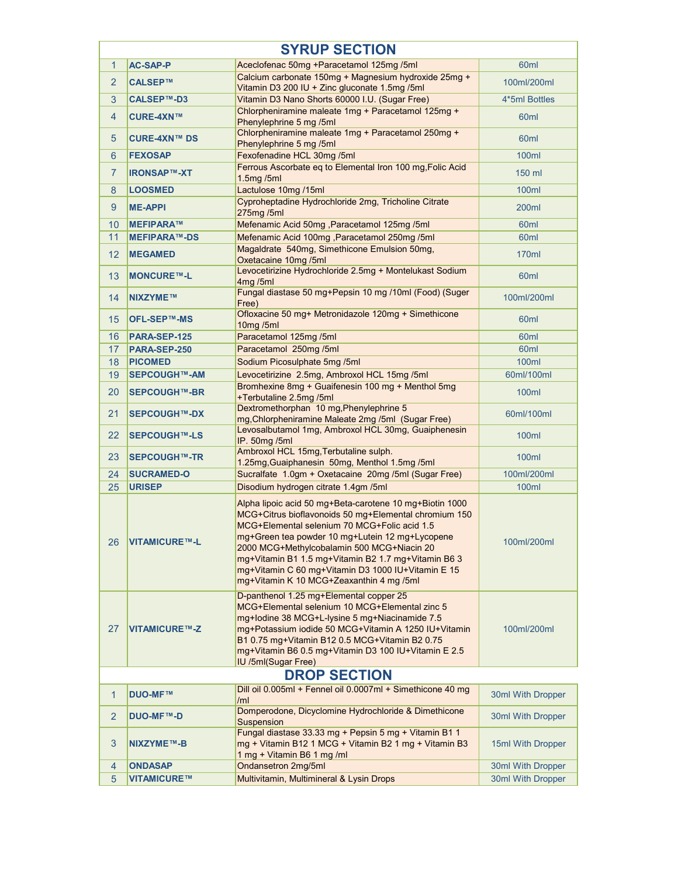|                     | <b>SYRUP SECTION</b> |                                                                                                                                                                                                                                                                                                                                                                                                                            |                   |  |
|---------------------|----------------------|----------------------------------------------------------------------------------------------------------------------------------------------------------------------------------------------------------------------------------------------------------------------------------------------------------------------------------------------------------------------------------------------------------------------------|-------------------|--|
| $\mathbf{1}$        | <b>AC-SAP-P</b>      | Aceclofenac 50mg +Paracetamol 125mg /5ml                                                                                                                                                                                                                                                                                                                                                                                   | 60 <sub>ml</sub>  |  |
| $\overline{2}$      | CALSEP™              | Calcium carbonate 150mg + Magnesium hydroxide 25mg +<br>Vitamin D3 200 IU + Zinc gluconate 1.5mg /5ml                                                                                                                                                                                                                                                                                                                      | 100ml/200ml       |  |
| 3                   | CALSEP™-D3           | Vitamin D3 Nano Shorts 60000 I.U. (Sugar Free)                                                                                                                                                                                                                                                                                                                                                                             | 4*5ml Bottles     |  |
| $\overline{4}$      | <b>CURE-4XN™</b>     | Chlorpheniramine maleate 1mg + Paracetamol 125mg +<br>Phenylephrine 5 mg /5ml                                                                                                                                                                                                                                                                                                                                              | 60 <sub>ml</sub>  |  |
| 5                   | <b>CURE-4XN™ DS</b>  | Chlorpheniramine maleate 1mg + Paracetamol 250mg +<br>Phenylephrine 5 mg /5ml                                                                                                                                                                                                                                                                                                                                              | 60 <sub>ml</sub>  |  |
| 6                   | <b>FEXOSAP</b>       | Fexofenadine HCL 30mg /5ml                                                                                                                                                                                                                                                                                                                                                                                                 | <b>100ml</b>      |  |
| $\overline{7}$      | <b>IRONSAP™-XT</b>   | Ferrous Ascorbate eq to Elemental Iron 100 mg, Folic Acid<br>1.5mg / 5ml                                                                                                                                                                                                                                                                                                                                                   | 150 ml            |  |
| 8                   | <b>LOOSMED</b>       | Lactulose 10mg /15ml                                                                                                                                                                                                                                                                                                                                                                                                       | 100ml             |  |
| 9                   | <b>ME-APPI</b>       | Cyproheptadine Hydrochloride 2mg, Tricholine Citrate<br>275mg /5ml                                                                                                                                                                                                                                                                                                                                                         | 200ml             |  |
| 10                  | MEFIPARA™            | Mefenamic Acid 50mg, Paracetamol 125mg /5ml                                                                                                                                                                                                                                                                                                                                                                                | 60 <sub>ml</sub>  |  |
| 11                  | <b>MEFIPARA™-DS</b>  | Mefenamic Acid 100mg, Paracetamol 250mg /5ml                                                                                                                                                                                                                                                                                                                                                                               | 60 <sub>ml</sub>  |  |
| 12                  | <b>MEGAMED</b>       | Magaldrate 540mg, Simethicone Emulsion 50mg,<br>Oxetacaine 10mg /5ml                                                                                                                                                                                                                                                                                                                                                       | 170ml             |  |
| 13                  | <b>MONCURE™-L</b>    | Levocetirizine Hydrochloride 2.5mg + Montelukast Sodium<br>4ma/5ml                                                                                                                                                                                                                                                                                                                                                         | 60ml              |  |
| 14                  | NIXZYME™             | Fungal diastase 50 mg+Pepsin 10 mg /10ml (Food) (Suger<br>Free)                                                                                                                                                                                                                                                                                                                                                            | 100ml/200ml       |  |
| 15                  | OFL-SEP™-MS          | Ofloxacine 50 mg+ Metronidazole 120mg + Simethicone<br>10mg/5ml                                                                                                                                                                                                                                                                                                                                                            | 60ml              |  |
| 16                  | PARA-SEP-125         | Paracetamol 125mg /5ml                                                                                                                                                                                                                                                                                                                                                                                                     | 60 <sub>ml</sub>  |  |
| 17                  | PARA-SEP-250         | Paracetamol 250mg /5ml                                                                                                                                                                                                                                                                                                                                                                                                     | 60ml              |  |
| 18                  | <b>PICOMED</b>       | Sodium Picosulphate 5mg /5ml                                                                                                                                                                                                                                                                                                                                                                                               | <b>100ml</b>      |  |
| 19                  | <b>SEPCOUGH™-AM</b>  | Levocetirizine 2.5mg, Ambroxol HCL 15mg /5ml                                                                                                                                                                                                                                                                                                                                                                               | 60ml/100ml        |  |
| 20                  | <b>SEPCOUGH™-BR</b>  | Bromhexine 8mg + Guaifenesin 100 mg + Menthol 5mg<br>+Terbutaline 2.5mg /5ml                                                                                                                                                                                                                                                                                                                                               | 100ml             |  |
| 21                  | <b>SEPCOUGH™-DX</b>  | Dextromethorphan 10 mg, Phenylephrine 5<br>mg, Chlorpheniramine Maleate 2mg /5ml (Sugar Free)                                                                                                                                                                                                                                                                                                                              | 60ml/100ml        |  |
| 22                  | <b>SEPCOUGH™-LS</b>  | Levosalbutamol 1mg, Ambroxol HCL 30mg, Guaiphenesin<br>IP. 50mg /5ml                                                                                                                                                                                                                                                                                                                                                       | 100ml             |  |
| 23                  | <b>SEPCOUGH™-TR</b>  | Ambroxol HCL 15mg, Terbutaline sulph.<br>1.25mg, Guaiphanesin 50mg, Menthol 1.5mg /5ml                                                                                                                                                                                                                                                                                                                                     | 100ml             |  |
| 24                  | <b>SUCRAMED-O</b>    | Sucralfate 1.0gm + Oxetacaine 20mg /5ml (Sugar Free)                                                                                                                                                                                                                                                                                                                                                                       | 100ml/200ml       |  |
| 25                  | <b>URISEP</b>        | Disodium hydrogen citrate 1.4gm /5ml                                                                                                                                                                                                                                                                                                                                                                                       | <b>100ml</b>      |  |
| 26                  | <b>VITAMICURE™-L</b> | Alpha lipoic acid 50 mg+Beta-carotene 10 mg+Biotin 1000<br>MCG+Citrus bioflavonoids 50 mg+Elemental chromium 150<br>MCG+Elemental selenium 70 MCG+Folic acid 1.5<br>mg+Green tea powder 10 mg+Lutein 12 mg+Lycopene<br>2000 MCG+Methylcobalamin 500 MCG+Niacin 20<br>mg+Vitamin B1 1.5 mg+Vitamin B2 1.7 mg+Vitamin B6 3<br>mg+Vitamin C 60 mg+Vitamin D3 1000 IU+Vitamin E 15<br>mg+Vitamin K 10 MCG+Zeaxanthin 4 mg /5ml | 100ml/200ml       |  |
| 27                  | <b>VITAMICURE™-Z</b> | D-panthenol 1.25 mg+Elemental copper 25<br>MCG+Elemental selenium 10 MCG+Elemental zinc 5<br>mg+lodine 38 MCG+L-lysine 5 mg+Niacinamide 7.5<br>mg+Potassium iodide 50 MCG+Vitamin A 1250 IU+Vitamin<br>B1 0.75 mg+Vitamin B12 0.5 MCG+Vitamin B2 0.75<br>mg+Vitamin B6 0.5 mg+Vitamin D3 100 IU+Vitamin E 2.5<br>IU /5ml(Sugar Free)                                                                                       | 100ml/200ml       |  |
| <b>DROP SECTION</b> |                      |                                                                                                                                                                                                                                                                                                                                                                                                                            |                   |  |
| $\mathbf{1}$        | <b>DUO-MF™</b>       | Dill oil 0.005ml + Fennel oil 0.0007ml + Simethicone 40 mg<br>/ml                                                                                                                                                                                                                                                                                                                                                          | 30ml With Dropper |  |
| $\overline{2}$      | <b>DUO-MF™-D</b>     | Domperodone, Dicyclomine Hydrochloride & Dimethicone<br>Suspension                                                                                                                                                                                                                                                                                                                                                         | 30ml With Dropper |  |
| 3                   | NIXZYME™-B           | Fungal diastase 33.33 mg + Pepsin 5 mg + Vitamin B1 1<br>mg + Vitamin B12 1 MCG + Vitamin B2 1 mg + Vitamin B3<br>1 mg + Vitamin B6 1 mg /ml                                                                                                                                                                                                                                                                               | 15ml With Dropper |  |
| $\overline{4}$      | <b>ONDASAP</b>       | Ondansetron 2mg/5ml                                                                                                                                                                                                                                                                                                                                                                                                        | 30ml With Dropper |  |
| 5                   | <b>VITAMICURE™</b>   | Multivitamin, Multimineral & Lysin Drops                                                                                                                                                                                                                                                                                                                                                                                   | 30ml With Dropper |  |